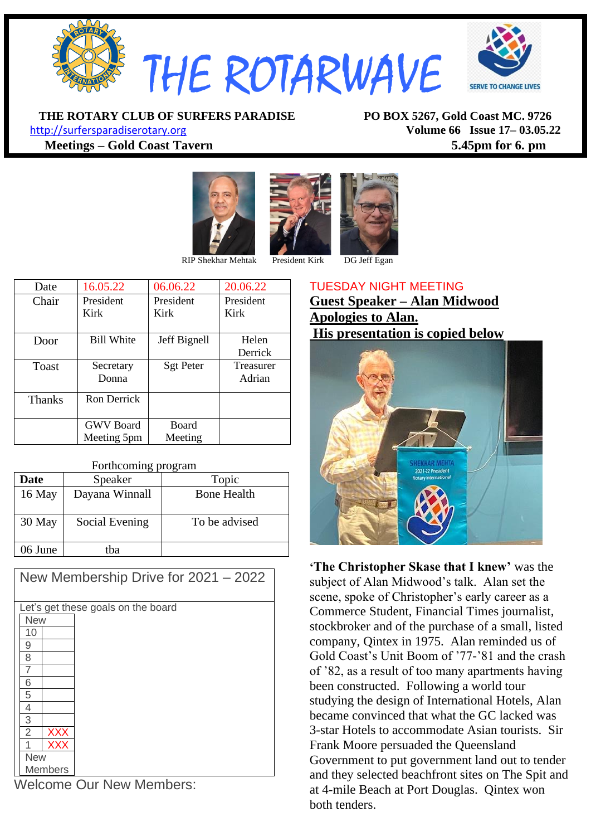

**THE ROTARY CLUB OF SURFERS PARADISE PO BOX 5267, Gold Coast MC. 9726** [http://surfersparadiserotary.org](http://surfersparadiserotary.org/) **Volume 66 Issue 17– 03.05.22**

**Meetings – Gold Coast Tavern 5.45pm for 6. pm**





RIP Shekhar Mehtak President Kirk DG Jeff Egan

| Date          | 16.05.22          | 06.06.22         | 20.06.22         |
|---------------|-------------------|------------------|------------------|
| Chair         | President         | President        | President        |
|               | Kirk              | Kirk             | Kirk             |
|               |                   |                  |                  |
| Door          | <b>Bill White</b> | Jeff Bignell     | Helen            |
|               |                   |                  | Derrick          |
| Toast         | Secretary         | <b>Sgt Peter</b> | <b>Treasurer</b> |
|               | Donna             |                  | Adrian           |
|               |                   |                  |                  |
| <b>Thanks</b> | Ron Derrick       |                  |                  |
|               |                   |                  |                  |
|               | <b>GWV</b> Board  | Board            |                  |
|               | Meeting 5pm       | Meeting          |                  |

| Forthcoming program |                |                    |  |  |
|---------------------|----------------|--------------------|--|--|
| <b>Date</b>         | Speaker        | Topic              |  |  |
| 16 May              | Dayana Winnall | <b>Bone Health</b> |  |  |
| 30 May              | Social Evening | To be advised      |  |  |

| New Membership Drive for 2021 - 2022 |  |  |  |  |
|--------------------------------------|--|--|--|--|
|                                      |  |  |  |  |
| Let's get these goals on the board   |  |  |  |  |
| <b>New</b>                           |  |  |  |  |
| 10                                   |  |  |  |  |
| 9                                    |  |  |  |  |
| 8                                    |  |  |  |  |
|                                      |  |  |  |  |
| 6                                    |  |  |  |  |
| 5                                    |  |  |  |  |
| 4                                    |  |  |  |  |
| 3                                    |  |  |  |  |
| $\overline{2}$<br><b>XXX</b>         |  |  |  |  |
| <b>XXX</b>                           |  |  |  |  |
| <b>New</b>                           |  |  |  |  |
| <b>Members</b>                       |  |  |  |  |

Welcome Our New Members:

06 June tba

## TUESDAY NIGHT MEETING **Guest Speaker – Alan Midwood Apologies to Alan. His presentation is copied below**



**'The Christopher Skase that I knew'** was the subject of Alan Midwood's talk. Alan set the scene, spoke of Christopher's early career as a Commerce Student, Financial Times journalist, stockbroker and of the purchase of a small, listed company, Qintex in 1975. Alan reminded us of Gold Coast's Unit Boom of '77-'81 and the crash of '82, as a result of too many apartments having been constructed. Following a world tour studying the design of International Hotels, Alan became convinced that what the GC lacked was 3-star Hotels to accommodate Asian tourists. Sir Frank Moore persuaded the Queensland Government to put government land out to tender and they selected beachfront sites on The Spit and at 4-mile Beach at Port Douglas. Qintex won both tenders.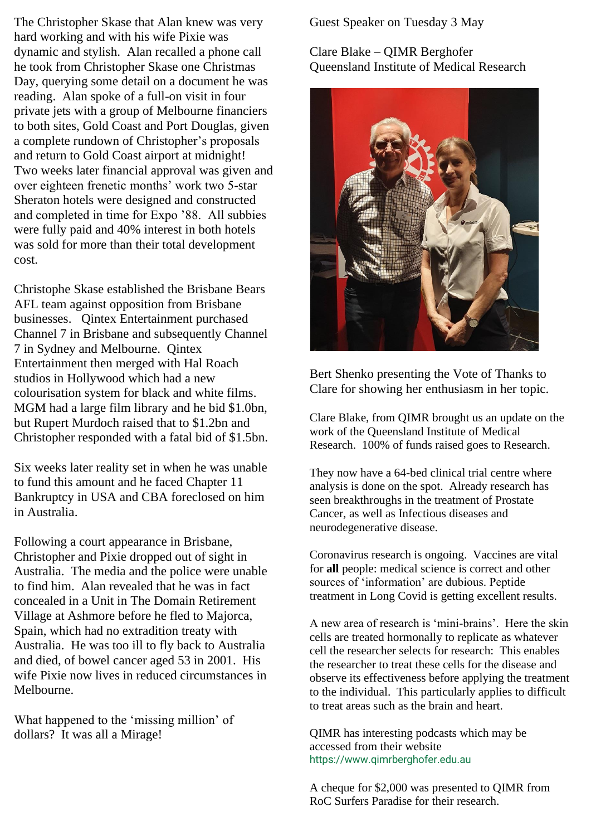The Christopher Skase that Alan knew was very hard working and with his wife Pixie was dynamic and stylish. Alan recalled a phone call he took from Christopher Skase one Christmas Day, querying some detail on a document he was reading. Alan spoke of a full-on visit in four private jets with a group of Melbourne financiers to both sites, Gold Coast and Port Douglas, given a complete rundown of Christopher's proposals and return to Gold Coast airport at midnight! Two weeks later financial approval was given and over eighteen frenetic months' work two 5-star Sheraton hotels were designed and constructed and completed in time for Expo '88. All subbies were fully paid and 40% interest in both hotels was sold for more than their total development cost.

Christophe Skase established the Brisbane Bears AFL team against opposition from Brisbane businesses. Qintex Entertainment purchased Channel 7 in Brisbane and subsequently Channel 7 in Sydney and Melbourne. Qintex Entertainment then merged with Hal Roach studios in Hollywood which had a new colourisation system for black and white films. MGM had a large film library and he bid \$1.0bn, but Rupert Murdoch raised that to \$1.2bn and Christopher responded with a fatal bid of \$1.5bn.

Six weeks later reality set in when he was unable to fund this amount and he faced Chapter 11 Bankruptcy in USA and CBA foreclosed on him in Australia.

Following a court appearance in Brisbane, Christopher and Pixie dropped out of sight in Australia. The media and the police were unable to find him. Alan revealed that he was in fact concealed in a Unit in The Domain Retirement Village at Ashmore before he fled to Majorca, Spain, which had no extradition treaty with Australia. He was too ill to fly back to Australia and died, of bowel cancer aged 53 in 2001. His wife Pixie now lives in reduced circumstances in Melbourne.

What happened to the 'missing million' of dollars? It was all a Mirage!

Guest Speaker on Tuesday 3 May

## Clare Blake – QIMR Berghofer Queensland Institute of Medical Research



Bert Shenko presenting the Vote of Thanks to Clare for showing her enthusiasm in her topic.

Clare Blake, from QIMR brought us an update on the work of the Queensland Institute of Medical Research. 100% of funds raised goes to Research.

They now have a 64-bed clinical trial centre where analysis is done on the spot. Already research has seen breakthroughs in the treatment of Prostate Cancer, as well as Infectious diseases and neurodegenerative disease.

Coronavirus research is ongoing. Vaccines are vital for **all** people: medical science is correct and other sources of 'information' are dubious. Peptide treatment in Long Covid is getting excellent results.

A new area of research is 'mini-brains'. Here the skin cells are treated hormonally to replicate as whatever cell the researcher selects for research: This enables the researcher to treat these cells for the disease and observe its effectiveness before applying the treatment to the individual. This particularly applies to difficult to treat areas such as the brain and heart.

QIMR has interesting podcasts which may be accessed from their website https://www.qimrberghofer.edu.au

A cheque for \$2,000 was presented to QIMR from RoC Surfers Paradise for their research.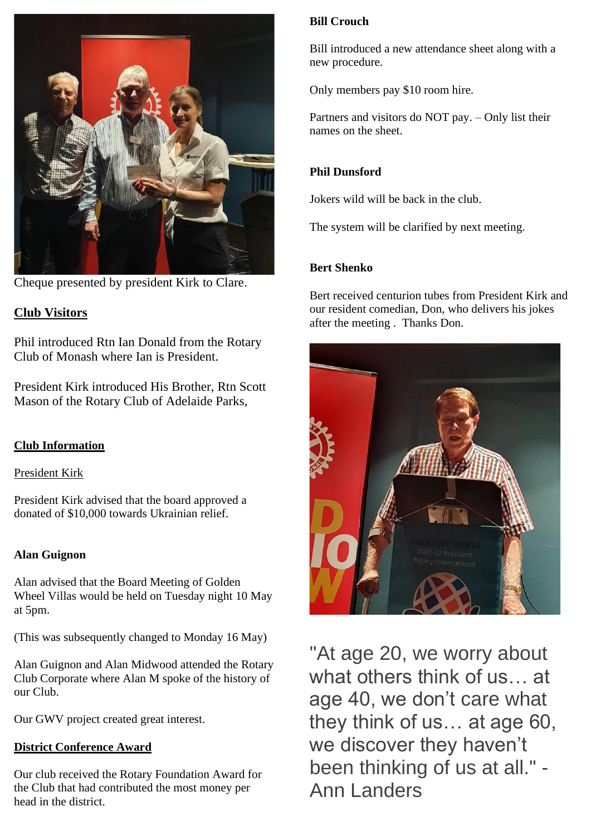

Cheque presented by president Kirk to Clare.

### **Club Visitors**

Phil introduced Rtn Ian Donald from the Rotary Club of Monash where Ian is President.

President Kirk introduced His Brother, Rtn Scott Mason of the Rotary Club of Adelaide Parks,

#### **Club Information**

President Kirk

President Kirk advised that the board approved a donated of \$10,000 towards Ukrainian relief.

#### **Alan Guignon**

Alan advised that the Board Meeting of Golden Wheel Villas would be held on Tuesday night 10 May at 5pm.

(This was subsequently changed to Monday 16 May)

Alan Guignon and Alan Midwood attended the Rotary Club Corporate where Alan M spoke of the history of our Club.

Our GWV project created great interest.

#### **District Conference Award**

Our club received the Rotary Foundation Award for the Club that had contributed the most money per head in the district.

#### **Bill Crouch**

Bill introduced a new attendance sheet along with a new procedure.

Only members pay \$10 room hire.

Partners and visitors do NOT pay. – Only list their names on the sheet.

#### **Phil Dunsford**

Jokers wild will be back in the club.

The system will be clarified by next meeting.

#### **Bert Shenko**

Bert received centurion tubes from President Kirk and our resident comedian, Don, who delivers his jokes after the meeting . Thanks Don.



"At age 20, we worry about what others think of us… at age 40, we don't care what they think of us… at age 60, we discover they haven't been thinking of us at all." - Ann Landers